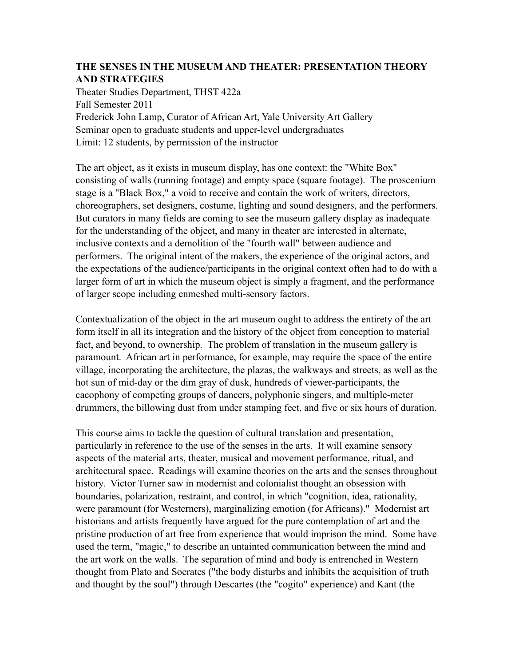### **THE SENSES IN THE MUSEUM AND THEATER: PRESENTATION THEORY AND STRATEGIES**

Theater Studies Department, THST 422a Fall Semester 2011 Frederick John Lamp, Curator of African Art, Yale University Art Gallery Seminar open to graduate students and upper-level undergraduates Limit: 12 students, by permission of the instructor

The art object, as it exists in museum display, has one context: the "White Box" consisting of walls (running footage) and empty space (square footage). The proscenium stage is a "Black Box," a void to receive and contain the work of writers, directors, choreographers, set designers, costume, lighting and sound designers, and the performers. But curators in many fields are coming to see the museum gallery display as inadequate for the understanding of the object, and many in theater are interested in alternate, inclusive contexts and a demolition of the "fourth wall" between audience and performers. The original intent of the makers, the experience of the original actors, and the expectations of the audience/participants in the original context often had to do with a larger form of art in which the museum object is simply a fragment, and the performance of larger scope including enmeshed multi-sensory factors.

Contextualization of the object in the art museum ought to address the entirety of the art form itself in all its integration and the history of the object from conception to material fact, and beyond, to ownership. The problem of translation in the museum gallery is paramount. African art in performance, for example, may require the space of the entire village, incorporating the architecture, the plazas, the walkways and streets, as well as the hot sun of mid-day or the dim gray of dusk, hundreds of viewer-participants, the cacophony of competing groups of dancers, polyphonic singers, and multiple-meter drummers, the billowing dust from under stamping feet, and five or six hours of duration.

This course aims to tackle the question of cultural translation and presentation, particularly in reference to the use of the senses in the arts. It will examine sensory aspects of the material arts, theater, musical and movement performance, ritual, and architectural space. Readings will examine theories on the arts and the senses throughout history. Victor Turner saw in modernist and colonialist thought an obsession with boundaries, polarization, restraint, and control, in which "cognition, idea, rationality, were paramount (for Westerners), marginalizing emotion (for Africans)." Modernist art historians and artists frequently have argued for the pure contemplation of art and the pristine production of art free from experience that would imprison the mind. Some have used the term, "magic," to describe an untainted communication between the mind and the art work on the walls. The separation of mind and body is entrenched in Western thought from Plato and Socrates ("the body disturbs and inhibits the acquisition of truth and thought by the soul") through Descartes (the "cogito" experience) and Kant (the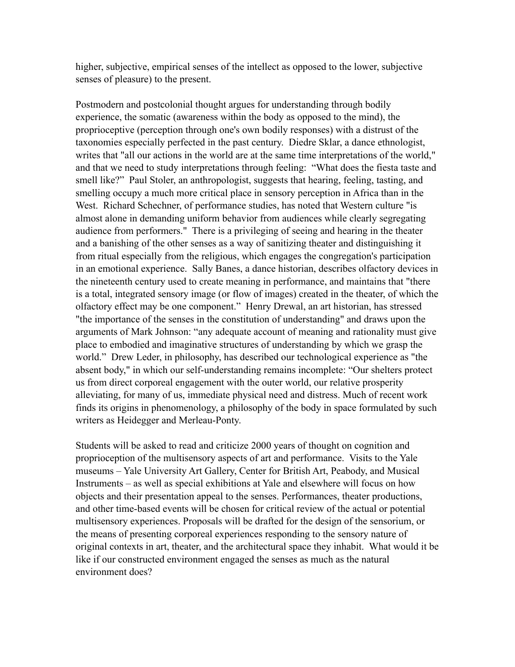higher, subjective, empirical senses of the intellect as opposed to the lower, subjective senses of pleasure) to the present.

Postmodern and postcolonial thought argues for understanding through bodily experience, the somatic (awareness within the body as opposed to the mind), the proprioceptive (perception through one's own bodily responses) with a distrust of the taxonomies especially perfected in the past century. Diedre Sklar, a dance ethnologist, writes that "all our actions in the world are at the same time interpretations of the world," and that we need to study interpretations through feeling: "What does the fiesta taste and smell like?" Paul Stoler, an anthropologist, suggests that hearing, feeling, tasting, and smelling occupy a much more critical place in sensory perception in Africa than in the West. Richard Schechner, of performance studies, has noted that Western culture "is almost alone in demanding uniform behavior from audiences while clearly segregating audience from performers." There is a privileging of seeing and hearing in the theater and a banishing of the other senses as a way of sanitizing theater and distinguishing it from ritual especially from the religious, which engages the congregation's participation in an emotional experience. Sally Banes, a dance historian, describes olfactory devices in the nineteenth century used to create meaning in performance, and maintains that "there is a total, integrated sensory image (or flow of images) created in the theater, of which the olfactory effect may be one component." Henry Drewal, an art historian, has stressed "the importance of the senses in the constitution of understanding" and draws upon the arguments of Mark Johnson: "any adequate account of meaning and rationality must give place to embodied and imaginative structures of understanding by which we grasp the world." Drew Leder, in philosophy, has described our technological experience as "the absent body," in which our self-understanding remains incomplete: "Our shelters protect us from direct corporeal engagement with the outer world, our relative prosperity alleviating, for many of us, immediate physical need and distress. Much of recent work finds its origins in phenomenology, a philosophy of the body in space formulated by such writers as Heidegger and Merleau-Ponty.

Students will be asked to read and criticize 2000 years of thought on cognition and proprioception of the multisensory aspects of art and performance. Visits to the Yale museums – Yale University Art Gallery, Center for British Art, Peabody, and Musical Instruments – as well as special exhibitions at Yale and elsewhere will focus on how objects and their presentation appeal to the senses. Performances, theater productions, and other time-based events will be chosen for critical review of the actual or potential multisensory experiences. Proposals will be drafted for the design of the sensorium, or the means of presenting corporeal experiences responding to the sensory nature of original contexts in art, theater, and the architectural space they inhabit. What would it be like if our constructed environment engaged the senses as much as the natural environment does?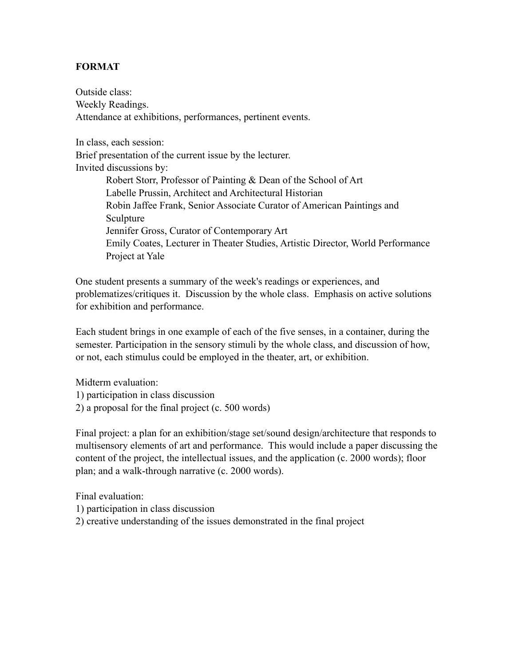### **FORMAT**

Outside class: Weekly Readings. Attendance at exhibitions, performances, pertinent events.

In class, each session: Brief presentation of the current issue by the lecturer. Invited discussions by:

 Robert Storr, Professor of Painting & Dean of the School of Art Labelle Prussin, Architect and Architectural Historian Robin Jaffee Frank, Senior Associate Curator of American Paintings and Sculpture Jennifer Gross, Curator of Contemporary Art Emily Coates, Lecturer in Theater Studies, Artistic Director, World Performance Project at Yale

One student presents a summary of the week's readings or experiences, and problematizes/critiques it. Discussion by the whole class. Emphasis on active solutions for exhibition and performance.

Each student brings in one example of each of the five senses, in a container, during the semester. Participation in the sensory stimuli by the whole class, and discussion of how, or not, each stimulus could be employed in the theater, art, or exhibition.

Midterm evaluation:

- 1) participation in class discussion
- 2) a proposal for the final project (c. 500 words)

Final project: a plan for an exhibition/stage set/sound design/architecture that responds to multisensory elements of art and performance. This would include a paper discussing the content of the project, the intellectual issues, and the application (c. 2000 words); floor plan; and a walk-through narrative (c. 2000 words).

Final evaluation:

- 1) participation in class discussion
- 2) creative understanding of the issues demonstrated in the final project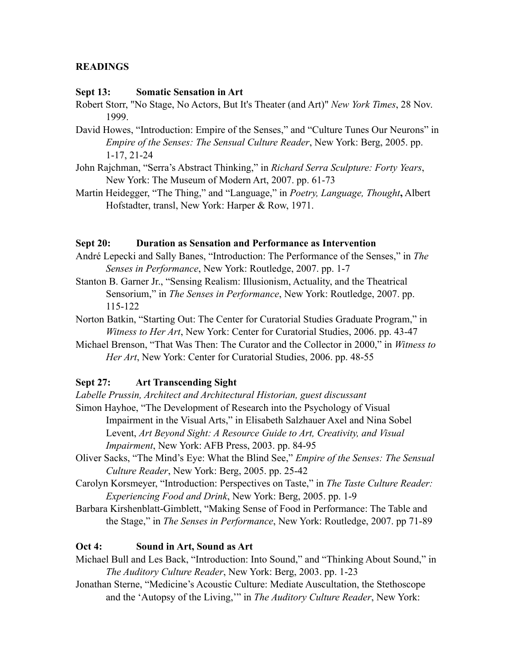### **READINGS**

#### **Sept 13: Somatic Sensation in Art**

- Robert Storr, "No Stage, No Actors, But It's Theater (and Art)" *New York Times*, 28 Nov. 1999.
- David Howes, "Introduction: Empire of the Senses," and "Culture Tunes Our Neurons" in *Empire of the Senses: The Sensual Culture Reader*, New York: Berg, 2005. pp. 1-17, 21-24
- John Rajchman, "Serra's Abstract Thinking," in *Richard Serra Sculpture: Forty Years*, New York: The Museum of Modern Art, 2007. pp. 61-73
- Martin Heidegger, "The Thing," and "Language," in *Poetry, Language, Thought***,** Albert Hofstadter, transl, New York: Harper & Row, 1971.

#### **Sept 20: Duration as Sensation and Performance as Intervention**

- André Lepecki and Sally Banes, "Introduction: The Performance of the Senses," in *The Senses in Performance*, New York: Routledge, 2007. pp. 1-7
- Stanton B. Garner Jr., "Sensing Realism: Illusionism, Actuality, and the Theatrical Sensorium," in *The Senses in Performance*, New York: Routledge, 2007. pp. 115-122
- Norton Batkin, "Starting Out: The Center for Curatorial Studies Graduate Program," in *Witness to Her Art*, New York: Center for Curatorial Studies, 2006. pp. 43-47
- Michael Brenson, "That Was Then: The Curator and the Collector in 2000," in *Witness to Her Art*, New York: Center for Curatorial Studies, 2006. pp. 48-55

### **Sept 27: Art Transcending Sight**

- *Labelle Prussin, Architect and Architectural Historian, guest discussant* Simon Hayhoe, "The Development of Research into the Psychology of Visual Impairment in the Visual Arts," in Elisabeth Salzhauer Axel and Nina Sobel Levent, *Art Beyond Sight: A Resource Guide to Art, Creativity, and Visual Impairment*, New York: AFB Press, 2003. pp. 84-95
- Oliver Sacks, "The Mind's Eye: What the Blind See," *Empire of the Senses: The Sensual Culture Reader*, New York: Berg, 2005. pp. 25-42
- Carolyn Korsmeyer, "Introduction: Perspectives on Taste," in *The Taste Culture Reader: Experiencing Food and Drink*, New York: Berg, 2005. pp. 1-9
- Barbara Kirshenblatt-Gimblett, "Making Sense of Food in Performance: The Table and the Stage," in *The Senses in Performance*, New York: Routledge, 2007. pp 71-89

### **Oct 4: Sound in Art, Sound as Art**

- Michael Bull and Les Back, "Introduction: Into Sound," and "Thinking About Sound," in *The Auditory Culture Reader*, New York: Berg, 2003. pp. 1-23
- Jonathan Sterne, "Medicine's Acoustic Culture: Mediate Auscultation, the Stethoscope and the 'Autopsy of the Living,'" in *The Auditory Culture Reader*, New York: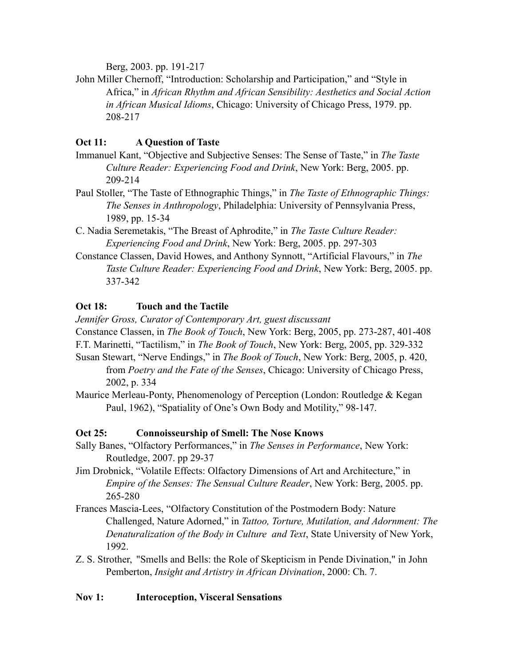Berg, 2003. pp. 191-217

John Miller Chernoff, "Introduction: Scholarship and Participation," and "Style in Africa," in *African Rhythm and African Sensibility: Aesthetics and Social Action in African Musical Idioms*, Chicago: University of Chicago Press, 1979. pp. 208-217

# **Oct 11: A Question of Taste**

- Immanuel Kant, "Objective and Subjective Senses: The Sense of Taste," in *The Taste Culture Reader: Experiencing Food and Drink*, New York: Berg, 2005. pp. 209-214
- Paul Stoller, "The Taste of Ethnographic Things," in *The Taste of Ethnographic Things: The Senses in Anthropology*, Philadelphia: University of Pennsylvania Press, 1989, pp. 15-34
- C. Nadia Seremetakis, "The Breast of Aphrodite," in *The Taste Culture Reader: Experiencing Food and Drink*, New York: Berg, 2005. pp. 297-303
- Constance Classen, David Howes, and Anthony Synnott, "Artificial Flavours," in *The Taste Culture Reader: Experiencing Food and Drink*, New York: Berg, 2005. pp. 337-342

# **Oct 18: Touch and the Tactile**

*Jennifer Gross, Curator of Contemporary Art, guest discussant*

Constance Classen, in *The Book of Touch*, New York: Berg, 2005, pp. 273-287, 401-408 F.T. Marinetti, "Tactilism," in *The Book of Touch*, New York: Berg, 2005, pp. 329-332 Susan Stewart, "Nerve Endings," in *The Book of Touch*, New York: Berg, 2005, p. 420,

from *Poetry and the Fate of the Senses*, Chicago: University of Chicago Press, 2002, p. 334

Maurice Merleau-Ponty, Phenomenology of Perception (London: Routledge & Kegan Paul, 1962), "Spatiality of One's Own Body and Motility," 98-147.

# **Oct 25: Connoisseurship of Smell: The Nose Knows**

- Sally Banes, "Olfactory Performances," in *The Senses in Performance*, New York: Routledge, 2007. pp 29-37
- Jim Drobnick, "Volatile Effects: Olfactory Dimensions of Art and Architecture," in *Empire of the Senses: The Sensual Culture Reader*, New York: Berg, 2005. pp. 265-280
- Frances Mascia-Lees, "Olfactory Constitution of the Postmodern Body: Nature Challenged, Nature Adorned," in *Tattoo, Torture, Mutilation, and Adornment: The Denaturalization of the Body in Culture and Text*, State University of New York, 1992.
- Z. S. Strother, "Smells and Bells: the Role of Skepticism in Pende Divination," in John Pemberton, *Insight and Artistry in African Divination*, 2000: Ch. 7.

# **Nov 1: Interoception, Visceral Sensations**